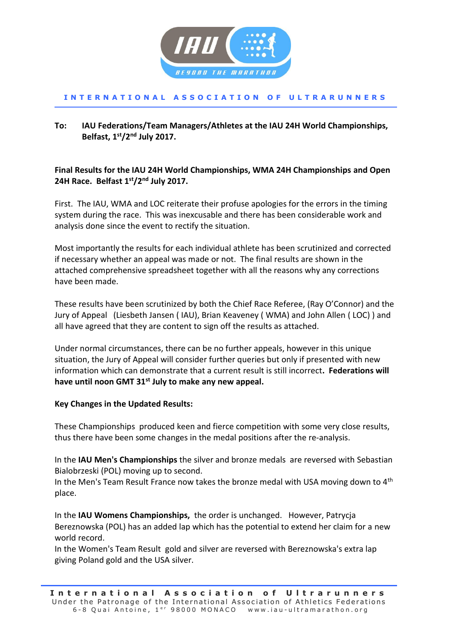

#### **I N T E R N A T I O N A L A S S O C I A T I O N O F U L T R A R U N N E R S**

# **To: IAU Federations/Team Managers/Athletes at the IAU 24H World Championships, Belfast, 1st/2nd July 2017.**

## **Final Results for the IAU 24H World Championships, WMA 24H Championships and Open 24H Race. Belfast 1st/2nd July 2017.**

First. The IAU, WMA and LOC reiterate their profuse apologies for the errors in the timing system during the race. This was inexcusable and there has been considerable work and analysis done since the event to rectify the situation.

Most importantly the results for each individual athlete has been scrutinized and corrected if necessary whether an appeal was made or not. The final results are shown in the attached comprehensive spreadsheet together with all the reasons why any corrections have been made.

These results have been scrutinized by both the Chief Race Referee, (Ray O'Connor) and the Jury of Appeal (Liesbeth Jansen ( IAU), Brian Keaveney ( WMA) and John Allen ( LOC) ) and all have agreed that they are content to sign off the results as attached.

Under normal circumstances, there can be no further appeals, however in this unique situation, the Jury of Appeal will consider further queries but only if presented with new information which can demonstrate that a current result is still incorrect**. Federations will have until noon GMT 31st July to make any new appeal.** 

## **Key Changes in the Updated Results:**

These Championships produced keen and fierce competition with some very close results, thus there have been some changes in the medal positions after the re-analysis.

In the **IAU Men's Championships** the silver and bronze medals are reversed with Sebastian Bialobrzeski (POL) moving up to second.

In the Men's Team Result France now takes the bronze medal with USA moving down to  $4<sup>th</sup>$ place.

In the **IAU Womens Championships,** the order is unchanged. However, Patrycja Bereznowska (POL) has an added lap which has the potential to extend her claim for a new world record.

In the Women's Team Result gold and silver are reversed with Bereznowska's extra lap giving Poland gold and the USA silver.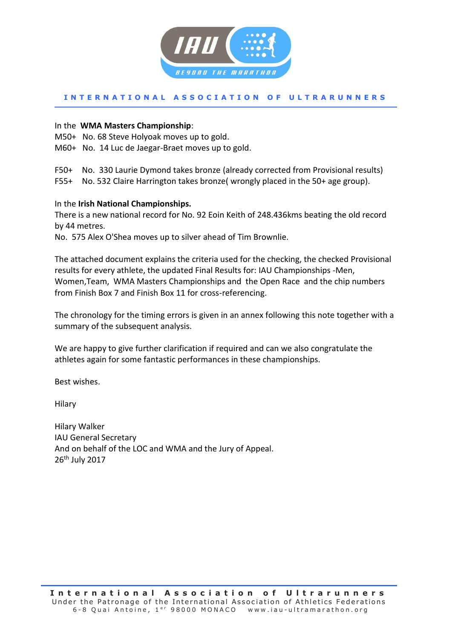

#### **I N T E R N A T I O N A L A S S O C I A T I O N O F U L T R A R U N N E R S**

#### In the **WMA Masters Championship**:

M50+ No. 68 Steve Holyoak moves up to gold.

M60+ No. 14 Luc de Jaegar-Braet moves up to gold.

F50+ No. 330 Laurie Dymond takes bronze (already corrected from Provisional results) F55+ No. 532 Claire Harrington takes bronze( wrongly placed in the 50+ age group).

#### In the **Irish National Championships.**

There is a new national record for No. 92 Eoin Keith of 248.436kms beating the old record by 44 metres.

No. 575 Alex O'Shea moves up to silver ahead of Tim Brownlie.

The attached document explains the criteria used for the checking, the checked Provisional results for every athlete, the updated Final Results for: IAU Championships -Men, Women,Team, WMA Masters Championships and the Open Race and the chip numbers from Finish Box 7 and Finish Box 11 for cross-referencing.

The chronology for the timing errors is given in an annex following this note together with a summary of the subsequent analysis.

We are happy to give further clarification if required and can we also congratulate the athletes again for some fantastic performances in these championships.

Best wishes.

Hilary

Hilary Walker IAU General Secretary And on behalf of the LOC and WMA and the Jury of Appeal. 26th July 2017